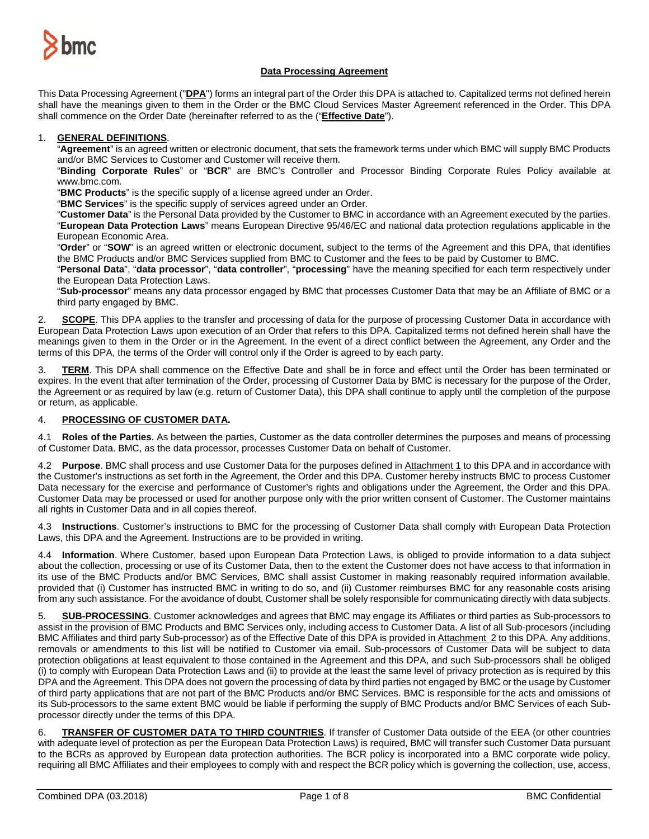

## **Data Processing Agreement**

This Data Processing Agreement ("**DPA**") forms an integral part of the Order this DPA is attached to. Capitalized terms not defined herein shall have the meanings given to them in the Order or the BMC Cloud Services Master Agreement referenced in the Order. This DPA shall commence on the Order Date (hereinafter referred to as the ("**Effective Date**").

### 1. **GENERAL DEFINITIONS**.

"**Agreement**" is an agreed written or electronic document, that sets the framework terms under which BMC will supply BMC Products and/or BMC Services to Customer and Customer will receive them.

"**Binding Corporate Rules**" or "**BCR**" are BMC's Controller and Processor Binding Corporate Rules Policy available at www.bmc.com.

"**BMC Products**" is the specific supply of a license agreed under an Order.

"**BMC Services**" is the specific supply of services agreed under an Order.

"**Customer Data**" is the Personal Data provided by the Customer to BMC in accordance with an Agreement executed by the parties. "**European Data Protection Laws**" means European Directive 95/46/EC and national data protection regulations applicable in the European Economic Area.

"**Order**" or "**SOW**" is an agreed written or electronic document, subject to the terms of the Agreement and this DPA, that identifies the BMC Products and/or BMC Services supplied from BMC to Customer and the fees to be paid by Customer to BMC.

"**Personal Data**", "**data processor**", "**data controller**", "**processing**" have the meaning specified for each term respectively under the European Data Protection Laws.

"**Sub-processor**" means any data processor engaged by BMC that processes Customer Data that may be an Affiliate of BMC or a third party engaged by BMC.

2. **SCOPE**. This DPA applies to the transfer and processing of data for the purpose of processing Customer Data in accordance with European Data Protection Laws upon execution of an Order that refers to this DPA. Capitalized terms not defined herein shall have the meanings given to them in the Order or in the Agreement. In the event of a direct conflict between the Agreement, any Order and the terms of this DPA, the terms of the Order will control only if the Order is agreed to by each party.

3. **TERM**. This DPA shall commence on the Effective Date and shall be in force and effect until the Order has been terminated or expires. In the event that after termination of the Order, processing of Customer Data by BMC is necessary for the purpose of the Order, the Agreement or as required by law (e.g. return of Customer Data), this DPA shall continue to apply until the completion of the purpose or return, as applicable.

## 4. **PROCESSING OF CUSTOMER DATA.**

4.1 **Roles of the Parties**. As between the parties, Customer as the data controller determines the purposes and means of processing of Customer Data. BMC, as the data processor, processes Customer Data on behalf of Customer.

4.2 **Purpose**. BMC shall process and use Customer Data for the purposes defined in Attachment 1 to this DPA and in accordance with the Customer's instructions as set forth in the Agreement, the Order and this DPA. Customer hereby instructs BMC to process Customer Data necessary for the exercise and performance of Customer's rights and obligations under the Agreement, the Order and this DPA. Customer Data may be processed or used for another purpose only with the prior written consent of Customer. The Customer maintains all rights in Customer Data and in all copies thereof.

4.3 **Instructions**. Customer's instructions to BMC for the processing of Customer Data shall comply with European Data Protection Laws, this DPA and the Agreement. Instructions are to be provided in writing.

4.4 **Information**. Where Customer, based upon European Data Protection Laws, is obliged to provide information to a data subject about the collection, processing or use of its Customer Data, then to the extent the Customer does not have access to that information in its use of the BMC Products and/or BMC Services, BMC shall assist Customer in making reasonably required information available, provided that (i) Customer has instructed BMC in writing to do so, and (ii) Customer reimburses BMC for any reasonable costs arising from any such assistance. For the avoidance of doubt, Customer shall be solely responsible for communicating directly with data subjects.

5. **SUB-PROCESSING**. Customer acknowledges and agrees that BMC may engage its Affiliates or third parties as Sub-processors to assist in the provision of BMC Products and BMC Services only, including access to Customer Data. A list of all Sub-procesors (including BMC Affiliates and third party Sub-processor) as of the Effective Date of this DPA is provided in Attachment 2 to this DPA. Any additions, removals or amendments to this list will be notified to Customer via email. Sub-processors of Customer Data will be subject to data protection obligations at least equivalent to those contained in the Agreement and this DPA, and such Sub-processors shall be obliged (i) to comply with European Data Protection Laws and (ii) to provide at the least the same level of privacy protection as is required by this DPA and the Agreement. This DPA does not govern the processing of data by third parties not engaged by BMC or the usage by Customer of third party applications that are not part of the BMC Products and/or BMC Services. BMC is responsible for the acts and omissions of its Sub-processors to the same extent BMC would be liable if performing the supply of BMC Products and/or BMC Services of each Subprocessor directly under the terms of this DPA.

6. **TRANSFER OF CUSTOMER DATA TO THIRD COUNTRIES**. If transfer of Customer Data outside of the EEA (or other countries with adequate level of protection as per the European Data Protection Laws) is required, BMC will transfer such Customer Data pursuant to the BCRs as approved by European data protection authorities. The BCR policy is incorporated into a BMC corporate wide policy, requiring all BMC Affiliates and their employees to comply with and respect the BCR policy which is governing the collection, use, access,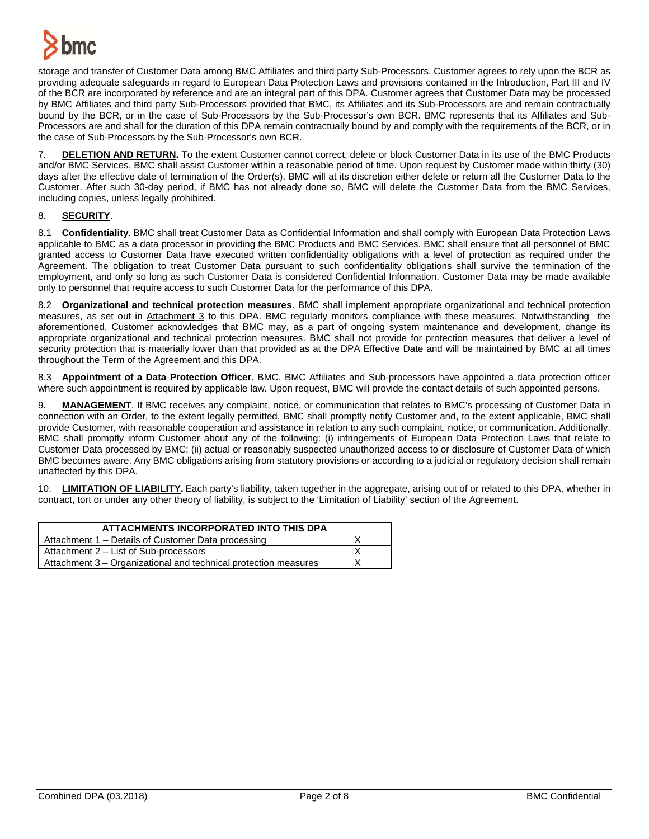

storage and transfer of Customer Data among BMC Affiliates and third party Sub-Processors. Customer agrees to rely upon the BCR as providing adequate safeguards in regard to European Data Protection Laws and provisions contained in the Introduction, Part III and IV of the BCR are incorporated by reference and are an integral part of this DPA. Customer agrees that Customer Data may be processed by BMC Affiliates and third party Sub-Processors provided that BMC, its Affiliates and its Sub-Processors are and remain contractually bound by the BCR, or in the case of Sub-Processors by the Sub-Processor's own BCR. BMC represents that its Affiliates and Sub-Processors are and shall for the duration of this DPA remain contractually bound by and comply with the requirements of the BCR, or in the case of Sub-Processors by the Sub-Processor's own BCR.

7. **DELETION AND RETURN.** To the extent Customer cannot correct, delete or block Customer Data in its use of the BMC Products and/or BMC Services, BMC shall assist Customer within a reasonable period of time. Upon request by Customer made within thirty (30) days after the effective date of termination of the Order(s), BMC will at its discretion either delete or return all the Customer Data to the Customer. After such 30-day period, if BMC has not already done so, BMC will delete the Customer Data from the BMC Services, including copies, unless legally prohibited.

# 8. **SECURITY**.

8.1 **Confidentiality**. BMC shall treat Customer Data as Confidential Information and shall comply with European Data Protection Laws applicable to BMC as a data processor in providing the BMC Products and BMC Services. BMC shall ensure that all personnel of BMC granted access to Customer Data have executed written confidentiality obligations with a level of protection as required under the Agreement. The obligation to treat Customer Data pursuant to such confidentiality obligations shall survive the termination of the employment, and only so long as such Customer Data is considered Confidential Information. Customer Data may be made available only to personnel that require access to such Customer Data for the performance of this DPA.

8.2 **Organizational and technical protection measures**. BMC shall implement appropriate organizational and technical protection measures, as set out in Attachment 3 to this DPA. BMC regularly monitors compliance with these measures. Notwithstanding the aforementioned, Customer acknowledges that BMC may, as a part of ongoing system maintenance and development, change its appropriate organizational and technical protection measures. BMC shall not provide for protection measures that deliver a level of security protection that is materially lower than that provided as at the DPA Effective Date and will be maintained by BMC at all times throughout the Term of the Agreement and this DPA.

8.3 **Appointment of a Data Protection Officer**. BMC, BMC Affiliates and Sub-processors have appointed a data protection officer where such appointment is required by applicable law. Upon request, BMC will provide the contact details of such appointed persons.

9. **MANAGEMENT**. If BMC receives any complaint, notice, or communication that relates to BMC's processing of Customer Data in connection with an Order, to the extent legally permitted, BMC shall promptly notify Customer and, to the extent applicable, BMC shall provide Customer, with reasonable cooperation and assistance in relation to any such complaint, notice, or communication. Additionally, BMC shall promptly inform Customer about any of the following: (i) infringements of European Data Protection Laws that relate to Customer Data processed by BMC; (ii) actual or reasonably suspected unauthorized access to or disclosure of Customer Data of which BMC becomes aware. Any BMC obligations arising from statutory provisions or according to a judicial or regulatory decision shall remain unaffected by this DPA.

10. **LIMITATION OF LIABILITY.** Each party's liability, taken together in the aggregate, arising out of or related to this DPA, whether in contract, tort or under any other theory of liability, is subject to the 'Limitation of Liability' section of the Agreement.

| ATTACHMENTS INCORPORATED INTO THIS DPA                          |  |  |
|-----------------------------------------------------------------|--|--|
| Attachment 1 – Details of Customer Data processing              |  |  |
| Attachment 2 – List of Sub-processors                           |  |  |
| Attachment 3 – Organizational and technical protection measures |  |  |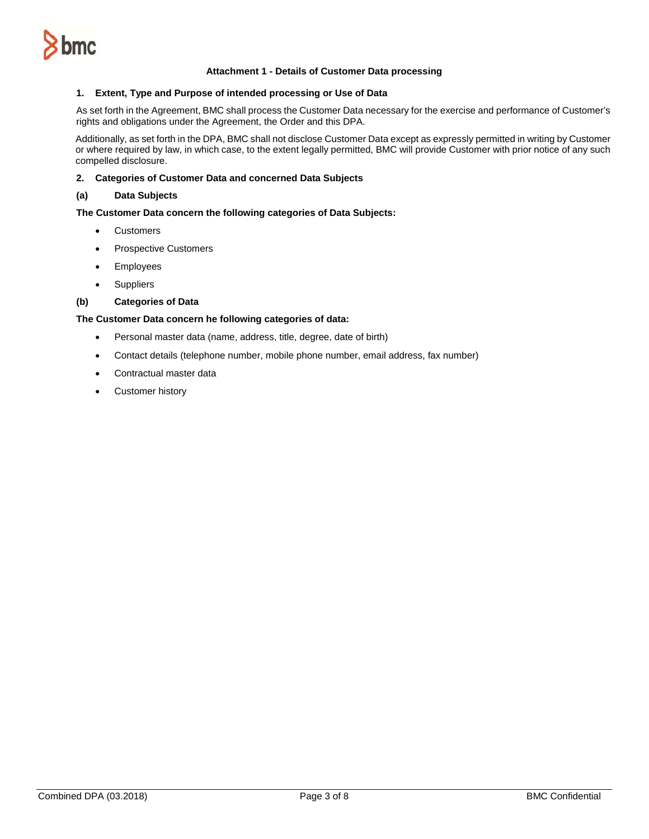

#### **Attachment 1 - Details of Customer Data processing**

#### **1. Extent, Type and Purpose of intended processing or Use of Data**

As set forth in the Agreement, BMC shall process the Customer Data necessary for the exercise and performance of Customer's rights and obligations under the Agreement, the Order and this DPA.

Additionally, as set forth in the DPA, BMC shall not disclose Customer Data except as expressly permitted in writing by Customer or where required by law, in which case, to the extent legally permitted, BMC will provide Customer with prior notice of any such compelled disclosure.

#### **2. Categories of Customer Data and concerned Data Subjects**

#### **(a) Data Subjects**

#### **The Customer Data concern the following categories of Data Subjects:**

- Customers
- Prospective Customers
- Employees
- Suppliers

### **(b) Categories of Data**

### **The Customer Data concern he following categories of data:**

- Personal master data (name, address, title, degree, date of birth)
- Contact details (telephone number, mobile phone number, email address, fax number)
- Contractual master data
- Customer history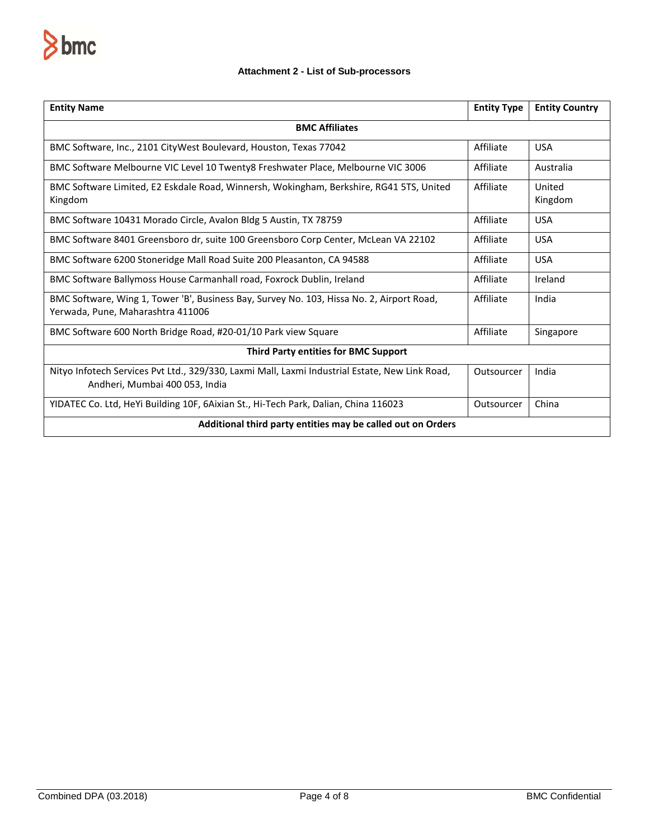

# **Attachment 2 - List of Sub-processors**

| <b>Entity Name</b>                                                                                                               | <b>Entity Type</b> | <b>Entity Country</b> |  |
|----------------------------------------------------------------------------------------------------------------------------------|--------------------|-----------------------|--|
| <b>BMC Affiliates</b>                                                                                                            |                    |                       |  |
| BMC Software, Inc., 2101 CityWest Boulevard, Houston, Texas 77042                                                                | Affiliate          | <b>USA</b>            |  |
| BMC Software Melbourne VIC Level 10 Twenty8 Freshwater Place, Melbourne VIC 3006                                                 | Affiliate          | Australia             |  |
| BMC Software Limited, E2 Eskdale Road, Winnersh, Wokingham, Berkshire, RG41 5TS, United<br>Kingdom                               | Affiliate          | United<br>Kingdom     |  |
| BMC Software 10431 Morado Circle, Avalon Bldg 5 Austin, TX 78759                                                                 | Affiliate          | <b>USA</b>            |  |
| BMC Software 8401 Greensboro dr, suite 100 Greensboro Corp Center, McLean VA 22102                                               | Affiliate          | <b>USA</b>            |  |
| BMC Software 6200 Stoneridge Mall Road Suite 200 Pleasanton, CA 94588                                                            | Affiliate          | <b>USA</b>            |  |
| BMC Software Ballymoss House Carmanhall road, Foxrock Dublin, Ireland                                                            | Affiliate          | Ireland               |  |
| BMC Software, Wing 1, Tower 'B', Business Bay, Survey No. 103, Hissa No. 2, Airport Road,<br>Yerwada, Pune, Maharashtra 411006   | Affiliate          | India                 |  |
| BMC Software 600 North Bridge Road, #20-01/10 Park view Square                                                                   | Affiliate          | Singapore             |  |
| <b>Third Party entities for BMC Support</b>                                                                                      |                    |                       |  |
| Nityo Infotech Services Pvt Ltd., 329/330, Laxmi Mall, Laxmi Industrial Estate, New Link Road,<br>Andheri, Mumbai 400 053, India | Outsourcer         | India                 |  |
| YIDATEC Co. Ltd, HeYi Building 10F, 6Aixian St., Hi-Tech Park, Dalian, China 116023                                              | Outsourcer         | China                 |  |
| Additional third party entities may be called out on Orders                                                                      |                    |                       |  |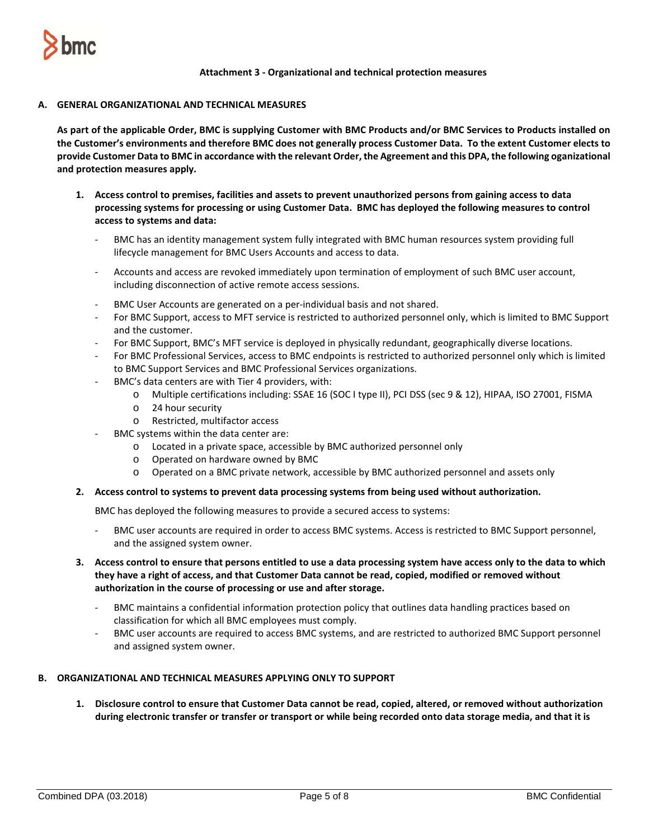

## **Attachment 3 - Organizational and technical protection measures**

## **A. GENERAL ORGANIZATIONAL AND TECHNICAL MEASURES**

**As part of the applicable Order, BMC is supplying Customer with BMC Products and/or BMC Services to Products installed on the Customer's environments and therefore BMC does not generally process Customer Data. To the extent Customer elects to provide Customer Data to BMC in accordance with the relevant Order, the Agreement and this DPA, the following oganizational and protection measures apply.** 

- **1. Access control to premises, facilities and assets to prevent unauthorized persons from gaining access to data processing systems for processing or using Customer Data. BMC has deployed the following measures to control access to systems and data:**
	- BMC has an identity management system fully integrated with BMC human resources system providing full lifecycle management for BMC Users Accounts and access to data.
	- Accounts and access are revoked immediately upon termination of employment of such BMC user account, including disconnection of active remote access sessions.
	- BMC User Accounts are generated on a per-individual basis and not shared.
	- For BMC Support, access to MFT service is restricted to authorized personnel only, which is limited to BMC Support and the customer.
	- For BMC Support, BMC's MFT service is deployed in physically redundant, geographically diverse locations.
	- For BMC Professional Services, access to BMC endpoints is restricted to authorized personnel only which is limited to BMC Support Services and BMC Professional Services organizations.
	- BMC's data centers are with Tier 4 providers, with:
		- o Multiple certifications including: SSAE 16 (SOC I type II), PCI DSS (sec 9 & 12), HIPAA, ISO 27001, FISMA
		- o 24 hour security
		- o Restricted, multifactor access
		- BMC systems within the data center are:
			- o Located in a private space, accessible by BMC authorized personnel only
			- o Operated on hardware owned by BMC
			- o Operated on a BMC private network, accessible by BMC authorized personnel and assets only

### **2. Access control to systems to prevent data processing systems from being used without authorization.**

BMC has deployed the following measures to provide a secured access to systems:

- BMC user accounts are required in order to access BMC systems. Access is restricted to BMC Support personnel, and the assigned system owner.
- **3. Access control to ensure that persons entitled to use a data processing system have access only to the data to which they have a right of access, and that Customer Data cannot be read, copied, modified or removed without authorization in the course of processing or use and after storage.**
	- BMC maintains a confidential information protection policy that outlines data handling practices based on classification for which all BMC employees must comply.
	- BMC user accounts are required to access BMC systems, and are restricted to authorized BMC Support personnel and assigned system owner.

# **B. ORGANIZATIONAL AND TECHNICAL MEASURES APPLYING ONLY TO SUPPORT**

**1. Disclosure control to ensure that Customer Data cannot be read, copied, altered, or removed without authorization during electronic transfer or transfer or transport or while being recorded onto data storage media, and that it is**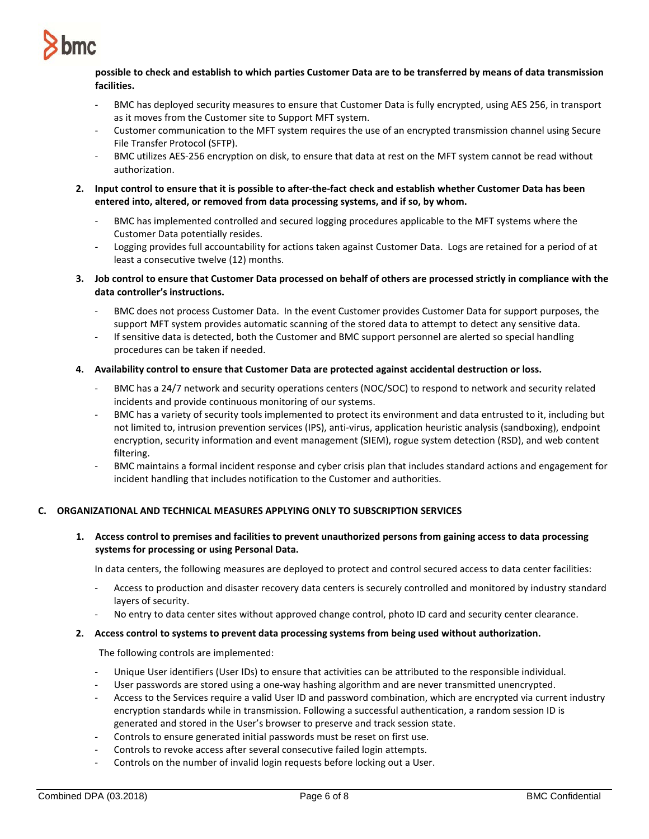

# **possible to check and establish to which parties Customer Data are to be transferred by means of data transmission facilities.**

- BMC has deployed security measures to ensure that Customer Data is fully encrypted, using AES 256, in transport as it moves from the Customer site to Support MFT system.
- Customer communication to the MFT system requires the use of an encrypted transmission channel using Secure File Transfer Protocol (SFTP).
- BMC utilizes AES-256 encryption on disk, to ensure that data at rest on the MFT system cannot be read without authorization.
- **2. Input control to ensure that it is possible to after-the-fact check and establish whether Customer Data has been entered into, altered, or removed from data processing systems, and if so, by whom.**
	- BMC has implemented controlled and secured logging procedures applicable to the MFT systems where the Customer Data potentially resides.
	- Logging provides full accountability for actions taken against Customer Data. Logs are retained for a period of at least a consecutive twelve (12) months.
- **3. Job control to ensure that Customer Data processed on behalf of others are processed strictly in compliance with the data controller's instructions.**
	- BMC does not process Customer Data. In the event Customer provides Customer Data for support purposes, the support MFT system provides automatic scanning of the stored data to attempt to detect any sensitive data.
	- If sensitive data is detected, both the Customer and BMC support personnel are alerted so special handling procedures can be taken if needed.
- **4. Availability control to ensure that Customer Data are protected against accidental destruction or loss.**
	- BMC has a 24/7 network and security operations centers (NOC/SOC) to respond to network and security related incidents and provide continuous monitoring of our systems.
	- BMC has a variety of security tools implemented to protect its environment and data entrusted to it, including but not limited to, intrusion prevention services (IPS), anti-virus, application heuristic analysis (sandboxing), endpoint encryption, security information and event management (SIEM), rogue system detection (RSD), and web content filtering.
	- BMC maintains a formal incident response and cyber crisis plan that includes standard actions and engagement for incident handling that includes notification to the Customer and authorities.

# **C. ORGANIZATIONAL AND TECHNICAL MEASURES APPLYING ONLY TO SUBSCRIPTION SERVICES**

**1. Access control to premises and facilities to prevent unauthorized persons from gaining access to data processing systems for processing or using Personal Data.**

In data centers, the following measures are deployed to protect and control secured access to data center facilities:

- Access to production and disaster recovery data centers is securely controlled and monitored by industry standard layers of security.
- No entry to data center sites without approved change control, photo ID card and security center clearance.

### **2. Access control to systems to prevent data processing systems from being used without authorization.**

The following controls are implemented:

- Unique User identifiers (User IDs) to ensure that activities can be attributed to the responsible individual.
- User passwords are stored using a one-way hashing algorithm and are never transmitted unencrypted.
- Access to the Services require a valid User ID and password combination, which are encrypted via current industry encryption standards while in transmission. Following a successful authentication, a random session ID is generated and stored in the User's browser to preserve and track session state.
- Controls to ensure generated initial passwords must be reset on first use.
- Controls to revoke access after several consecutive failed login attempts.
- Controls on the number of invalid login requests before locking out a User.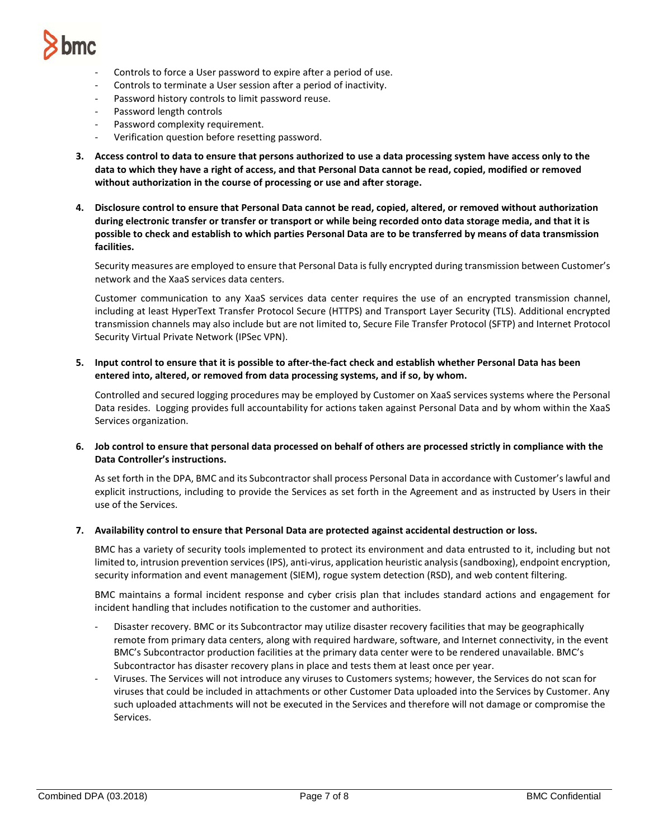

- Controls to force a User password to expire after a period of use.
- Controls to terminate a User session after a period of inactivity.
- Password history controls to limit password reuse.
- Password length controls
- Password complexity requirement.
- Verification question before resetting password.
- **3. Access control to data to ensure that persons authorized to use a data processing system have access only to the data to which they have a right of access, and that Personal Data cannot be read, copied, modified or removed without authorization in the course of processing or use and after storage.**
- **4. Disclosure control to ensure that Personal Data cannot be read, copied, altered, or removed without authorization during electronic transfer or transfer or transport or while being recorded onto data storage media, and that it is possible to check and establish to which parties Personal Data are to be transferred by means of data transmission facilities.**

Security measures are employed to ensure that Personal Data is fully encrypted during transmission between Customer's network and the XaaS services data centers.

Customer communication to any XaaS services data center requires the use of an encrypted transmission channel, including at least HyperText Transfer Protocol Secure (HTTPS) and Transport Layer Security (TLS). Additional encrypted transmission channels may also include but are not limited to, Secure File Transfer Protocol (SFTP) and Internet Protocol Security Virtual Private Network (IPSec VPN).

**5. Input control to ensure that it is possible to after-the-fact check and establish whether Personal Data has been entered into, altered, or removed from data processing systems, and if so, by whom.**

Controlled and secured logging procedures may be employed by Customer on XaaS services systems where the Personal Data resides. Logging provides full accountability for actions taken against Personal Data and by whom within the XaaS Services organization.

**6. Job control to ensure that personal data processed on behalf of others are processed strictly in compliance with the Data Controller's instructions.**

As set forth in the DPA, BMC and its Subcontractor shall process Personal Data in accordance with Customer's lawful and explicit instructions, including to provide the Services as set forth in the Agreement and as instructed by Users in their use of the Services.

**7. Availability control to ensure that Personal Data are protected against accidental destruction or loss.**

BMC has a variety of security tools implemented to protect its environment and data entrusted to it, including but not limited to, intrusion prevention services (IPS), anti-virus, application heuristic analysis (sandboxing), endpoint encryption, security information and event management (SIEM), rogue system detection (RSD), and web content filtering.

BMC maintains a formal incident response and cyber crisis plan that includes standard actions and engagement for incident handling that includes notification to the customer and authorities.

- Disaster recovery. BMC or its Subcontractor may utilize disaster recovery facilities that may be geographically remote from primary data centers, along with required hardware, software, and Internet connectivity, in the event BMC's Subcontractor production facilities at the primary data center were to be rendered unavailable. BMC's Subcontractor has disaster recovery plans in place and tests them at least once per year.
- Viruses. The Services will not introduce any viruses to Customers systems; however, the Services do not scan for viruses that could be included in attachments or other Customer Data uploaded into the Services by Customer. Any such uploaded attachments will not be executed in the Services and therefore will not damage or compromise the Services.